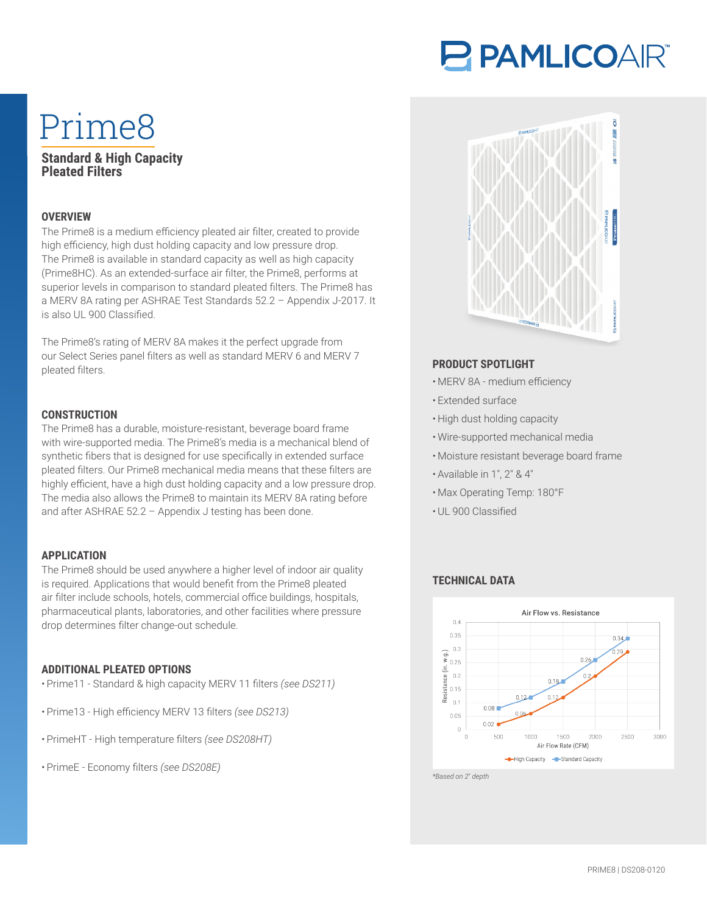# PAMLICOAIR®

# Prime8

# **Standard & High Capacity Pleated Filters**

## **OVERVIEW**

The Prime8 is a medium efficiency pleated air filter, created to provide high efficiency, high dust holding capacity and low pressure drop. The Prime8 is available in standard capacity as well as high capacity (Prime8HC). As an extended-surface air filter, the Prime8, performs at superior levels in comparison to standard pleated filters. The Prime8 has a MERV 8A rating per ASHRAE Test Standards 52.2 – Appendix J-2017. It is also UL 900 Classified

The Prime8's rating of MERV 8A makes it the perfect upgrade from our Select Series panel filters as well as standard MERV 6 and MERV 7 pleated filters.

#### **CONSTRUCTION**

The Prime8 has a durable, moisture-resistant, beverage board frame with wire-supported media. The Prime8's media is a mechanical blend of synthetic fibers that is designed for use specifically in extended surface pleated filters. Our Prime8 mechanical media means that these filters are highly efficient, have a high dust holding capacity and a low pressure drop. The media also allows the Prime8 to maintain its MERV 8A rating before and after ASHRAE 52.2 – Appendix J testing has been done.

#### **APPLICATION**

The Prime8 should be used anywhere a higher level of indoor air quality is required. Applications that would benefit from the Prime8 pleated air filter include schools, hotels, commercial office buildings, hospitals, pharmaceutical plants, laboratories, and other facilities where pressure drop determines filter change-out schedule.

#### **ADDITIONAL PLEATED OPTIONS**

- Prime11 Standard & high capacity MERV 11 filters *(see DS211)*
- Prime13 High efficiency MERV 13 filters *(see DS213)*
- PrimeHT High temperature filters *(see DS208HT)*
- PrimeE Economy filters *(see DS208E)*



# **PRODUCT SPOTLIGHT**

- MERV 8A medium efficiency
- Extended surface
- High dust holding capacity
- Wire-supported mechanical media
- Moisture resistant beverage board frame
- Available in 1″, 2″ & 4″
- Max Operating Temp: 180°F
- UL 900 Classified

#### **TECHNICAL DATA**



*\*Based on 2*″ *depth*